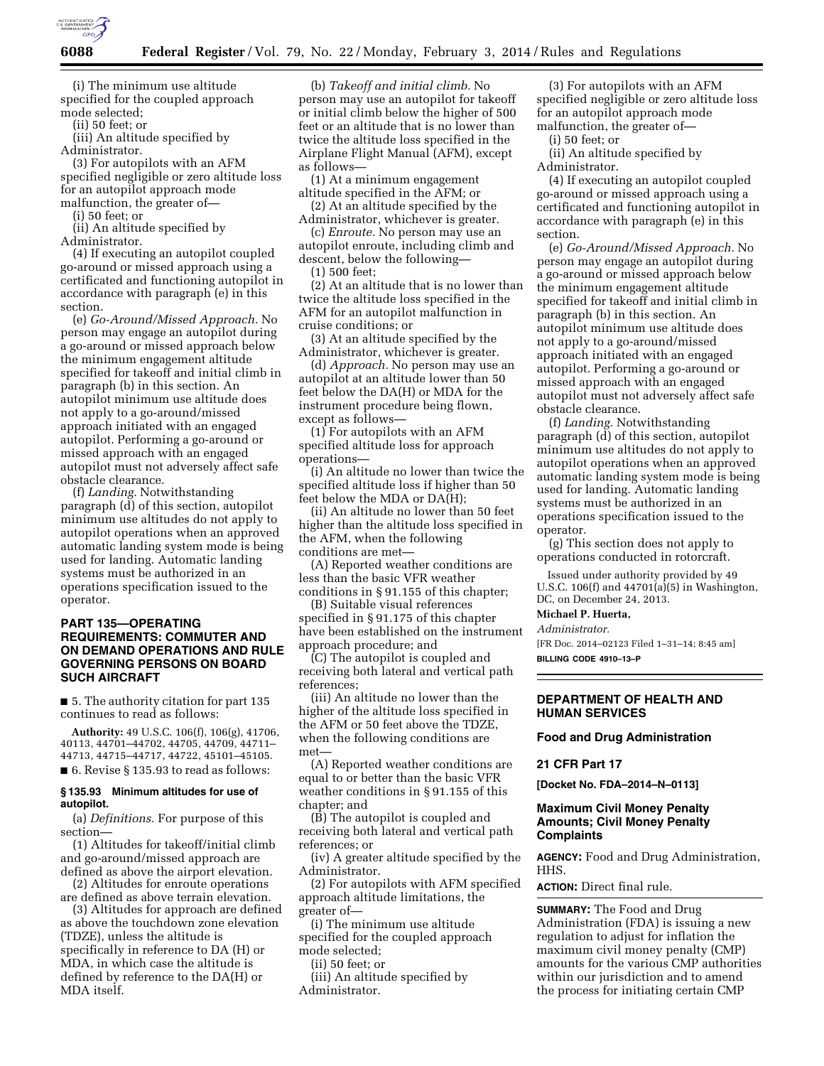

(i) The minimum use altitude specified for the coupled approach mode selected;

(ii) 50 feet; or

(iii) An altitude specified by Administrator.

(3) For autopilots with an AFM specified negligible or zero altitude loss for an autopilot approach mode malfunction, the greater of—

(i) 50 feet; or

(ii) An altitude specified by Administrator.

(4) If executing an autopilot coupled go-around or missed approach using a certificated and functioning autopilot in accordance with paragraph (e) in this section.

(e) *Go-Around/Missed Approach.* No person may engage an autopilot during a go-around or missed approach below the minimum engagement altitude specified for takeoff and initial climb in paragraph (b) in this section. An autopilot minimum use altitude does not apply to a go-around/missed approach initiated with an engaged autopilot. Performing a go-around or missed approach with an engaged autopilot must not adversely affect safe obstacle clearance.

(f) *Landing.* Notwithstanding paragraph (d) of this section, autopilot minimum use altitudes do not apply to autopilot operations when an approved automatic landing system mode is being used for landing. Automatic landing systems must be authorized in an operations specification issued to the operator.

# **PART 135—OPERATING REQUIREMENTS: COMMUTER AND ON DEMAND OPERATIONS AND RULE GOVERNING PERSONS ON BOARD SUCH AIRCRAFT**

■ 5. The authority citation for part 135 continues to read as follows:

**Authority:** 49 U.S.C. 106(f), 106(g), 41706, 40113, 44701–44702, 44705, 44709, 44711– 44713, 44715–44717, 44722, 45101–45105. ■ 6. Revise § 135.93 to read as follows:

### **§ 135.93 Minimum altitudes for use of autopilot.**

(a) *Definitions.* For purpose of this section—

(1) Altitudes for takeoff/initial climb and go-around/missed approach are defined as above the airport elevation.

(2) Altitudes for enroute operations are defined as above terrain elevation.

(3) Altitudes for approach are defined as above the touchdown zone elevation (TDZE), unless the altitude is specifically in reference to DA (H) or MDA, in which case the altitude is defined by reference to the DA(H) or MDA itself.

(b) *Takeoff and initial climb.* No person may use an autopilot for takeoff or initial climb below the higher of 500 feet or an altitude that is no lower than twice the altitude loss specified in the Airplane Flight Manual (AFM), except as follows—

(1) At a minimum engagement altitude specified in the AFM; or

(2) At an altitude specified by the Administrator, whichever is greater.

(c) *Enroute.* No person may use an autopilot enroute, including climb and descent, below the following—

(1) 500 feet;

(2) At an altitude that is no lower than twice the altitude loss specified in the AFM for an autopilot malfunction in cruise conditions; or

(3) At an altitude specified by the Administrator, whichever is greater.

(d) *Approach.* No person may use an autopilot at an altitude lower than 50 feet below the DA(H) or MDA for the instrument procedure being flown, except as follows—

(1) For autopilots with an AFM specified altitude loss for approach operations—

(i) An altitude no lower than twice the specified altitude loss if higher than 50 feet below the MDA or DA(H);

(ii) An altitude no lower than 50 feet higher than the altitude loss specified in the AFM, when the following conditions are met—

(A) Reported weather conditions are less than the basic VFR weather conditions in § 91.155 of this chapter;

(B) Suitable visual references specified in § 91.175 of this chapter have been established on the instrument approach procedure; and

(C) The autopilot is coupled and receiving both lateral and vertical path references;

(iii) An altitude no lower than the higher of the altitude loss specified in the AFM or 50 feet above the TDZE, when the following conditions are met

(A) Reported weather conditions are equal to or better than the basic VFR weather conditions in § 91.155 of this chapter; and

(B) The autopilot is coupled and receiving both lateral and vertical path references; or

(iv) A greater altitude specified by the Administrator.

(2) For autopilots with AFM specified approach altitude limitations, the greater of—

(i) The minimum use altitude specified for the coupled approach mode selected;

(ii) 50 feet; or

(iii) An altitude specified by Administrator.

(3) For autopilots with an AFM specified negligible or zero altitude loss for an autopilot approach mode malfunction, the greater of—

(i) 50 feet; or

(ii) An altitude specified by Administrator.

(4) If executing an autopilot coupled go-around or missed approach using a certificated and functioning autopilot in accordance with paragraph (e) in this section.

(e) *Go-Around/Missed Approach.* No person may engage an autopilot during a go-around or missed approach below the minimum engagement altitude specified for takeoff and initial climb in paragraph (b) in this section. An autopilot minimum use altitude does not apply to a go-around/missed approach initiated with an engaged autopilot. Performing a go-around or missed approach with an engaged autopilot must not adversely affect safe obstacle clearance.

(f) *Landing.* Notwithstanding paragraph (d) of this section, autopilot minimum use altitudes do not apply to autopilot operations when an approved automatic landing system mode is being used for landing. Automatic landing systems must be authorized in an operations specification issued to the operator.

(g) This section does not apply to operations conducted in rotorcraft.

Issued under authority provided by 49 U.S.C. 106(f) and  $44701(a)(5)$  in Washington, DC, on December 24, 2013.

**Michael P. Huerta,** 

*Administrator.* 

[FR Doc. 2014–02123 Filed 1–31–14; 8:45 am]

**BILLING CODE 4910–13–P** 

# **DEPARTMENT OF HEALTH AND HUMAN SERVICES**

### **Food and Drug Administration**

### **21 CFR Part 17**

**[Docket No. FDA–2014–N–0113]** 

# **Maximum Civil Money Penalty Amounts; Civil Money Penalty Complaints**

**AGENCY:** Food and Drug Administration, HHS.

**ACTION:** Direct final rule.

**SUMMARY:** The Food and Drug Administration (FDA) is issuing a new regulation to adjust for inflation the maximum civil money penalty (CMP) amounts for the various CMP authorities within our jurisdiction and to amend the process for initiating certain CMP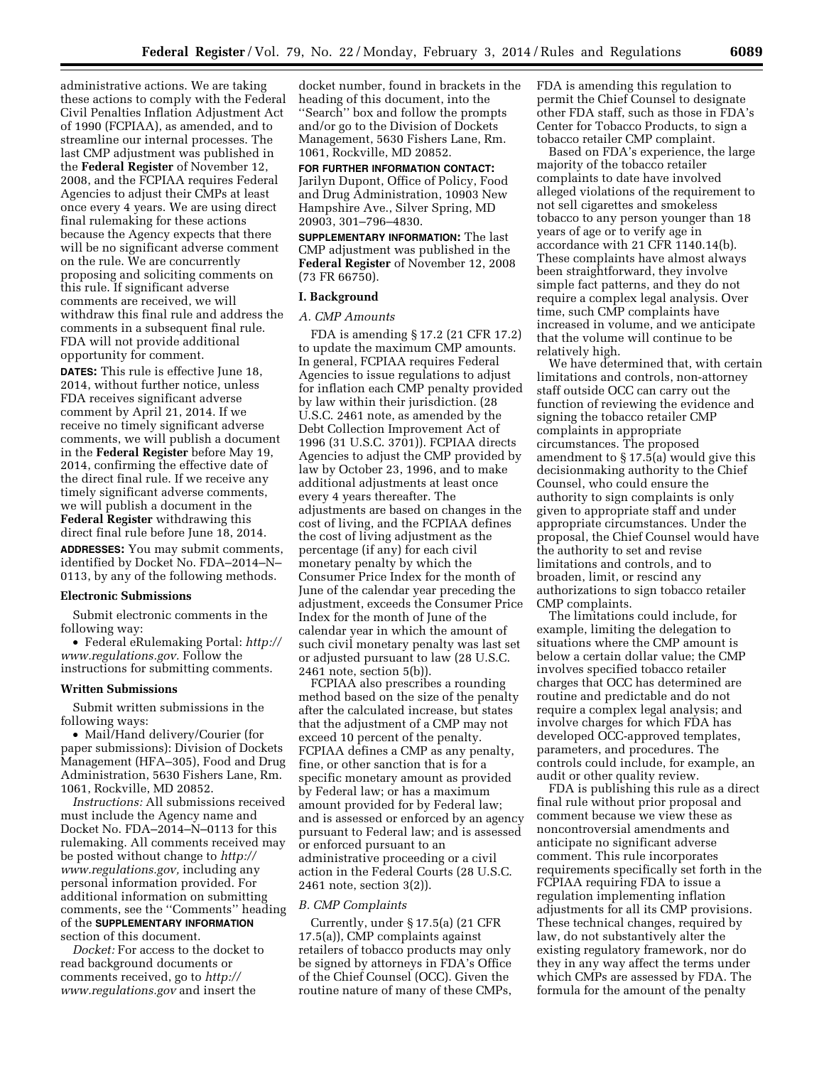administrative actions. We are taking these actions to comply with the Federal Civil Penalties Inflation Adjustment Act of 1990 (FCPIAA), as amended, and to streamline our internal processes. The last CMP adjustment was published in the **Federal Register** of November 12, 2008, and the FCPIAA requires Federal Agencies to adjust their CMPs at least once every 4 years. We are using direct final rulemaking for these actions because the Agency expects that there will be no significant adverse comment on the rule. We are concurrently proposing and soliciting comments on this rule. If significant adverse comments are received, we will withdraw this final rule and address the comments in a subsequent final rule. FDA will not provide additional opportunity for comment.

**DATES:** This rule is effective June 18, 2014, without further notice, unless FDA receives significant adverse comment by April 21, 2014. If we receive no timely significant adverse comments, we will publish a document in the **Federal Register** before May 19, 2014, confirming the effective date of the direct final rule. If we receive any timely significant adverse comments, we will publish a document in the **Federal Register** withdrawing this direct final rule before June 18, 2014.

**ADDRESSES:** You may submit comments, identified by Docket No. FDA–2014–N– 0113, by any of the following methods.

### **Electronic Submissions**

Submit electronic comments in the following way:

• Federal eRulemaking Portal: *[http://](http://www.regulations.gov) [www.regulations.gov.](http://www.regulations.gov)* Follow the instructions for submitting comments.

### **Written Submissions**

Submit written submissions in the following ways:

• Mail/Hand delivery/Courier (for paper submissions): Division of Dockets Management (HFA–305), Food and Drug Administration, 5630 Fishers Lane, Rm. 1061, Rockville, MD 20852.

*Instructions:* All submissions received must include the Agency name and Docket No. FDA–2014–N–0113 for this rulemaking. All comments received may be posted without change to *[http://](http://www.regulations.gov) [www.regulations.gov,](http://www.regulations.gov)* including any personal information provided. For additional information on submitting comments, see the ''Comments'' heading of the **SUPPLEMENTARY INFORMATION** section of this document.

*Docket:* For access to the docket to read background documents or comments received, go to *[http://](http://www.regulations.gov) [www.regulations.gov](http://www.regulations.gov)* and insert the

docket number, found in brackets in the heading of this document, into the ''Search'' box and follow the prompts and/or go to the Division of Dockets Management, 5630 Fishers Lane, Rm. 1061, Rockville, MD 20852.

**FOR FURTHER INFORMATION CONTACT:**  Jarilyn Dupont, Office of Policy, Food and Drug Administration, 10903 New Hampshire Ave., Silver Spring, MD 20903, 301–796–4830.

**SUPPLEMENTARY INFORMATION:** The last CMP adjustment was published in the **Federal Register** of November 12, 2008 (73 FR 66750).

### **I. Background**

# *A. CMP Amounts*

FDA is amending § 17.2 (21 CFR 17.2) to update the maximum CMP amounts. In general, FCPIAA requires Federal Agencies to issue regulations to adjust for inflation each CMP penalty provided by law within their jurisdiction. (28 U.S.C. 2461 note, as amended by the Debt Collection Improvement Act of 1996 (31 U.S.C. 3701)). FCPIAA directs Agencies to adjust the CMP provided by law by October 23, 1996, and to make additional adjustments at least once every 4 years thereafter. The adjustments are based on changes in the cost of living, and the FCPIAA defines the cost of living adjustment as the percentage (if any) for each civil monetary penalty by which the Consumer Price Index for the month of June of the calendar year preceding the adjustment, exceeds the Consumer Price Index for the month of June of the calendar year in which the amount of such civil monetary penalty was last set or adjusted pursuant to law (28 U.S.C. 2461 note, section 5(b)).

FCPIAA also prescribes a rounding method based on the size of the penalty after the calculated increase, but states that the adjustment of a CMP may not exceed 10 percent of the penalty. FCPIAA defines a CMP as any penalty, fine, or other sanction that is for a specific monetary amount as provided by Federal law; or has a maximum amount provided for by Federal law; and is assessed or enforced by an agency pursuant to Federal law; and is assessed or enforced pursuant to an administrative proceeding or a civil action in the Federal Courts (28 U.S.C. 2461 note, section 3(2)).

#### *B. CMP Complaints*

Currently, under § 17.5(a) (21 CFR 17.5(a)), CMP complaints against retailers of tobacco products may only be signed by attorneys in FDA's Office of the Chief Counsel (OCC). Given the routine nature of many of these CMPs, FDA is amending this regulation to permit the Chief Counsel to designate other FDA staff, such as those in FDA's Center for Tobacco Products, to sign a tobacco retailer CMP complaint.

Based on FDA's experience, the large majority of the tobacco retailer complaints to date have involved alleged violations of the requirement to not sell cigarettes and smokeless tobacco to any person younger than 18 years of age or to verify age in accordance with 21 CFR 1140.14(b). These complaints have almost always been straightforward, they involve simple fact patterns, and they do not require a complex legal analysis. Over time, such CMP complaints have increased in volume, and we anticipate that the volume will continue to be relatively high.

We have determined that, with certain limitations and controls, non-attorney staff outside OCC can carry out the function of reviewing the evidence and signing the tobacco retailer CMP complaints in appropriate circumstances. The proposed amendment to § 17.5(a) would give this decisionmaking authority to the Chief Counsel, who could ensure the authority to sign complaints is only given to appropriate staff and under appropriate circumstances. Under the proposal, the Chief Counsel would have the authority to set and revise limitations and controls, and to broaden, limit, or rescind any authorizations to sign tobacco retailer CMP complaints.

The limitations could include, for example, limiting the delegation to situations where the CMP amount is below a certain dollar value; the CMP involves specified tobacco retailer charges that OCC has determined are routine and predictable and do not require a complex legal analysis; and involve charges for which FDA has developed OCC-approved templates, parameters, and procedures. The controls could include, for example, an audit or other quality review.

FDA is publishing this rule as a direct final rule without prior proposal and comment because we view these as noncontroversial amendments and anticipate no significant adverse comment. This rule incorporates requirements specifically set forth in the FCPIAA requiring FDA to issue a regulation implementing inflation adjustments for all its CMP provisions. These technical changes, required by law, do not substantively alter the existing regulatory framework, nor do they in any way affect the terms under which CMPs are assessed by FDA. The formula for the amount of the penalty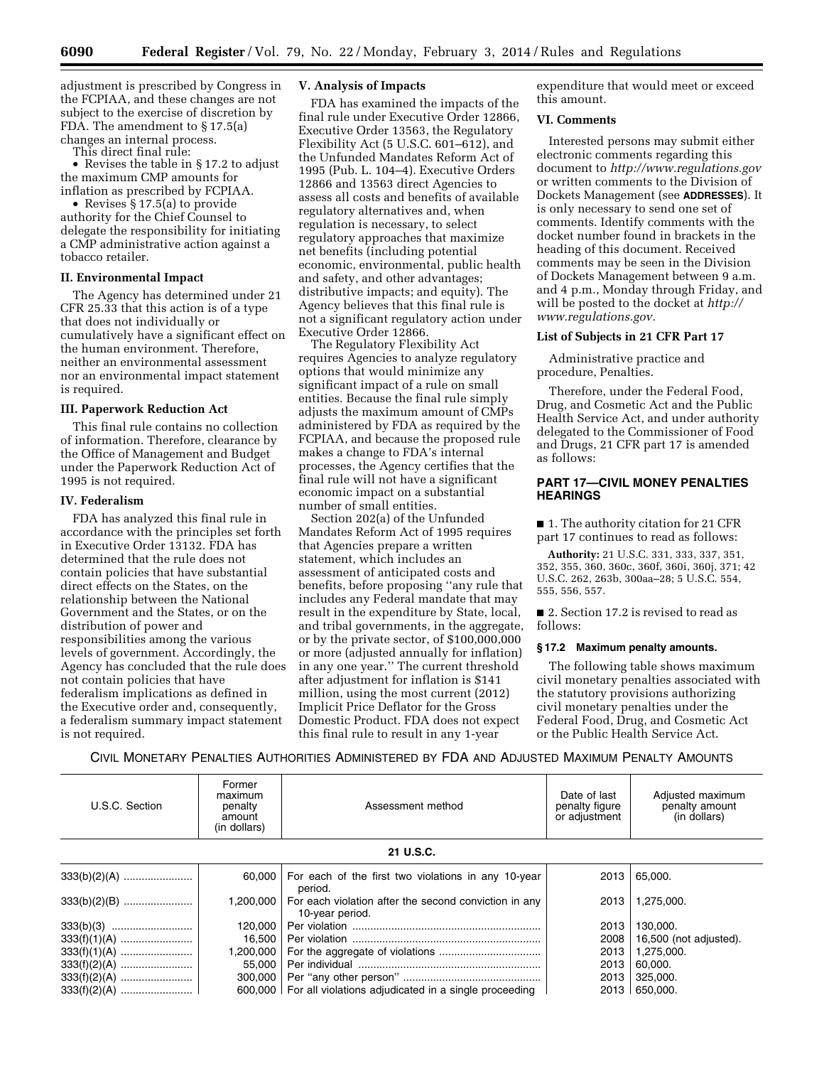adjustment is prescribed by Congress in the FCPIAA, and these changes are not subject to the exercise of discretion by FDA. The amendment to § 17.5(a) changes an internal process.

This direct final rule:

• Revises the table in § 17.2 to adjust the maximum CMP amounts for inflation as prescribed by FCPIAA.

• Revises § 17.5(a) to provide authority for the Chief Counsel to delegate the responsibility for initiating a CMP administrative action against a tobacco retailer.

### **II. Environmental Impact**

The Agency has determined under 21 CFR 25.33 that this action is of a type that does not individually or cumulatively have a significant effect on the human environment. Therefore, neither an environmental assessment nor an environmental impact statement is required.

### **III. Paperwork Reduction Act**

This final rule contains no collection of information. Therefore, clearance by the Office of Management and Budget under the Paperwork Reduction Act of 1995 is not required.

### **IV. Federalism**

FDA has analyzed this final rule in accordance with the principles set forth in Executive Order 13132. FDA has determined that the rule does not contain policies that have substantial direct effects on the States, on the relationship between the National Government and the States, or on the distribution of power and responsibilities among the various levels of government. Accordingly, the Agency has concluded that the rule does not contain policies that have federalism implications as defined in the Executive order and, consequently, a federalism summary impact statement is not required.

### **V. Analysis of Impacts**

FDA has examined the impacts of the final rule under Executive Order 12866, Executive Order 13563, the Regulatory Flexibility Act (5 U.S.C. 601–612), and the Unfunded Mandates Reform Act of 1995 (Pub. L. 104–4). Executive Orders 12866 and 13563 direct Agencies to assess all costs and benefits of available regulatory alternatives and, when regulation is necessary, to select regulatory approaches that maximize net benefits (including potential economic, environmental, public health and safety, and other advantages; distributive impacts; and equity). The Agency believes that this final rule is not a significant regulatory action under Executive Order 12866.

The Regulatory Flexibility Act requires Agencies to analyze regulatory options that would minimize any significant impact of a rule on small entities. Because the final rule simply adjusts the maximum amount of CMPs administered by FDA as required by the FCPIAA, and because the proposed rule makes a change to FDA's internal processes, the Agency certifies that the final rule will not have a significant economic impact on a substantial number of small entities.

Section 202(a) of the Unfunded Mandates Reform Act of 1995 requires that Agencies prepare a written statement, which includes an assessment of anticipated costs and benefits, before proposing ''any rule that includes any Federal mandate that may result in the expenditure by State, local, and tribal governments, in the aggregate, or by the private sector, of \$100,000,000 or more (adjusted annually for inflation) in any one year.'' The current threshold after adjustment for inflation is \$141 million, using the most current (2012) Implicit Price Deflator for the Gross Domestic Product. FDA does not expect this final rule to result in any 1-year

expenditure that would meet or exceed this amount.

### **VI. Comments**

Interested persons may submit either electronic comments regarding this document to *<http://www.regulations.gov>* or written comments to the Division of Dockets Management (see **ADDRESSES**). It is only necessary to send one set of comments. Identify comments with the docket number found in brackets in the heading of this document. Received comments may be seen in the Division of Dockets Management between 9 a.m. and 4 p.m., Monday through Friday, and will be posted to the docket at *[http://](http://www.regulations.gov) [www.regulations.gov.](http://www.regulations.gov)* 

### **List of Subjects in 21 CFR Part 17**

Administrative practice and procedure, Penalties.

Therefore, under the Federal Food, Drug, and Cosmetic Act and the Public Health Service Act, and under authority delegated to the Commissioner of Food and Drugs, 21 CFR part 17 is amended as follows:

# **PART 17—CIVIL MONEY PENALTIES HEARINGS**

■ 1. The authority citation for 21 CFR part 17 continues to read as follows:

**Authority:** 21 U.S.C. 331, 333, 337, 351, 352, 355, 360, 360c, 360f, 360i, 360j, 371; 42 U.S.C. 262, 263b, 300aa–28; 5 U.S.C. 554, 555, 556, 557.

■ 2. Section 17.2 is revised to read as follows:

### **§ 17.2 Maximum penalty amounts.**

The following table shows maximum civil monetary penalties associated with the statutory provisions authorizing civil monetary penalties under the Federal Food, Drug, and Cosmetic Act or the Public Health Service Act.

CIVIL MONETARY PENALTIES AUTHORITIES ADMINISTERED BY FDA AND ADJUSTED MAXIMUM PENALTY AMOUNTS

| U.S.C. Section | Former<br>maximum<br>penalty<br>amount<br>(in dollars) | Assessment method                                                        | Date of last<br>penalty figure<br>or adjustment | Adjusted maximum<br>penalty amount<br>(in dollars) |  |  |  |  |
|----------------|--------------------------------------------------------|--------------------------------------------------------------------------|-------------------------------------------------|----------------------------------------------------|--|--|--|--|
| 21 U.S.C.      |                                                        |                                                                          |                                                 |                                                    |  |  |  |  |
|                | 60.000                                                 | For each of the first two violations in any 10-year<br>period.           | 2013                                            | 65.000.                                            |  |  |  |  |
|                | 1.200.000                                              | For each violation after the second conviction in any<br>10-year period. | 2013                                            | 1,275,000.                                         |  |  |  |  |
|                | 120.000                                                |                                                                          | 2013                                            | 130,000.                                           |  |  |  |  |
|                | 16.500                                                 |                                                                          | 2008                                            | 16,500 (not adjusted).                             |  |  |  |  |
|                | 1,200,000                                              |                                                                          | 2013                                            | 1,275,000.                                         |  |  |  |  |
|                | 55.000                                                 |                                                                          | 2013                                            | 60,000.                                            |  |  |  |  |
|                | 300,000                                                |                                                                          | 2013                                            | 325,000.                                           |  |  |  |  |
|                |                                                        | 600,000   For all violations adjudicated in a single proceeding          | 2013                                            | 650.000.                                           |  |  |  |  |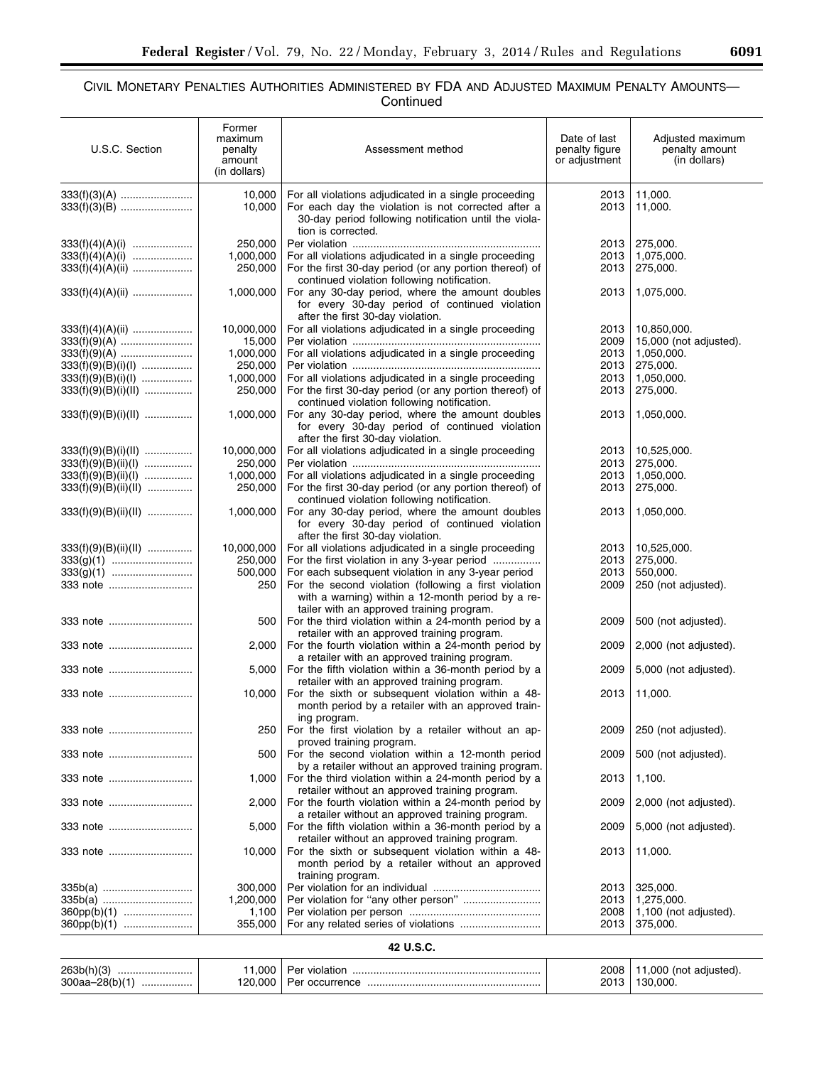▀

# CIVIL MONETARY PENALTIES AUTHORITIES ADMINISTERED BY FDA AND ADJUSTED MAXIMUM PENALTY AMOUNTS— **Continued**

| U.S.C. Section         | Former<br>maximum<br>penalty<br>amount<br>(in dollars) | Assessment method                                                                                                                                                                           | Date of last<br>penalty figure<br>or adjustment | Adjusted maximum<br>penalty amount<br>(in dollars) |  |  |  |  |  |
|------------------------|--------------------------------------------------------|---------------------------------------------------------------------------------------------------------------------------------------------------------------------------------------------|-------------------------------------------------|----------------------------------------------------|--|--|--|--|--|
|                        | 10,000<br>10,000                                       | For all violations adjudicated in a single proceeding<br>For each day the violation is not corrected after a<br>30-day period following notification until the viola-<br>tion is corrected. | 2013<br>2013                                    | 11,000.<br>11,000.                                 |  |  |  |  |  |
|                        | 250,000                                                |                                                                                                                                                                                             | 2013                                            | 275,000.                                           |  |  |  |  |  |
| $333(f)(4)(A)(i)$      | 1,000,000                                              | For all violations adjudicated in a single proceeding                                                                                                                                       | 2013                                            | 1,075,000.                                         |  |  |  |  |  |
|                        | 250,000                                                | For the first 30-day period (or any portion thereof) of<br>continued violation following notification.                                                                                      | 2013                                            | 275,000.                                           |  |  |  |  |  |
| $333(f)(4)(A)(ii)$     | 1,000,000                                              | For any 30-day period, where the amount doubles<br>for every 30-day period of continued violation<br>after the first 30-day violation.                                                      | 2013                                            | 1,075,000.                                         |  |  |  |  |  |
| $333(f)(4)(A)(ii)$     | 10,000,000                                             | For all violations adjudicated in a single proceeding                                                                                                                                       | 2013                                            | 10,850,000.                                        |  |  |  |  |  |
|                        | 15,000                                                 |                                                                                                                                                                                             | 2009                                            | 15,000 (not adjusted).                             |  |  |  |  |  |
|                        | 1,000,000                                              | For all violations adjudicated in a single proceeding                                                                                                                                       | 2013                                            | 1,050,000.                                         |  |  |  |  |  |
| $333(f)(9)(B)(i)(I)$   | 250,000                                                |                                                                                                                                                                                             | 2013                                            | 275,000.                                           |  |  |  |  |  |
| $333(f)(9)(B)(i)(I)$   | 1,000,000                                              | For all violations adjudicated in a single proceeding                                                                                                                                       | 2013                                            | 1,050,000.                                         |  |  |  |  |  |
| $333(f)(9)(B)(i)(II)$  | 250,000                                                | For the first 30-day period (or any portion thereof) of<br>continued violation following notification.                                                                                      | 2013                                            | 275,000.                                           |  |  |  |  |  |
| $333(f)(9)(B)(i)(II)$  | 1,000,000                                              | For any 30-day period, where the amount doubles<br>for every 30-day period of continued violation<br>after the first 30-day violation.                                                      | 2013                                            | 1,050,000.                                         |  |  |  |  |  |
| $333(f)(9)(B)(i)(II)$  | 10,000,000                                             | For all violations adjudicated in a single proceeding                                                                                                                                       | 2013                                            | 10,525,000.                                        |  |  |  |  |  |
| $333(f)(9)(B)(ii)(I)$  | 250,000                                                |                                                                                                                                                                                             | 2013                                            | 275,000.                                           |  |  |  |  |  |
| $333(f)(9)(B)(ii)(I)$  | 1,000,000                                              | For all violations adjudicated in a single proceeding                                                                                                                                       | 2013                                            | 1,050,000.                                         |  |  |  |  |  |
| $333(f)(9)(B)(ii)(II)$ | 250,000                                                | For the first 30-day period (or any portion thereof) of<br>continued violation following notification.                                                                                      | 2013                                            | 275,000.                                           |  |  |  |  |  |
| 333(f)(9)(B)(ii)(II)   | 1,000,000                                              | For any 30-day period, where the amount doubles<br>for every 30-day period of continued violation<br>after the first 30-day violation.                                                      | 2013                                            | 1,050,000.                                         |  |  |  |  |  |
| $333(f)(9)(B)(ii)(II)$ | 10,000,000                                             | For all violations adjudicated in a single proceeding                                                                                                                                       | 2013                                            | 10,525,000.                                        |  |  |  |  |  |
|                        | 250,000                                                | For the first violation in any 3-year period                                                                                                                                                | 2013                                            | 275,000.                                           |  |  |  |  |  |
|                        | 500,000                                                | For each subsequent violation in any 3-year period                                                                                                                                          | 2013                                            | 550,000.                                           |  |  |  |  |  |
| 333 note               | 250                                                    | For the second violation (following a first violation<br>with a warning) within a 12-month period by a re-<br>tailer with an approved training program.                                     | 2009                                            | 250 (not adjusted).                                |  |  |  |  |  |
| 333 note               | 500                                                    | For the third violation within a 24-month period by a<br>retailer with an approved training program.                                                                                        | 2009                                            | 500 (not adjusted).                                |  |  |  |  |  |
| 333 note               | 2,000                                                  | For the fourth violation within a 24-month period by<br>a retailer with an approved training program.                                                                                       | 2009                                            | 2,000 (not adjusted).                              |  |  |  |  |  |
| 333 note               | 5,000                                                  | For the fifth violation within a 36-month period by a<br>retailer with an approved training program.                                                                                        | 2009                                            | 5,000 (not adjusted).                              |  |  |  |  |  |
| 333 note               | 10,000                                                 | For the sixth or subsequent violation within a 48-<br>month period by a retailer with an approved train-<br>ing program.                                                                    | 2013                                            | 11,000.                                            |  |  |  |  |  |
| 333 note               | 250                                                    | For the first violation by a retailer without an ap-<br>proved training program.                                                                                                            | 2009                                            | 250 (not adjusted).                                |  |  |  |  |  |
| 333 note               | 500                                                    | For the second violation within a 12-month period<br>by a retailer without an approved training program.                                                                                    | 2009                                            | 500 (not adjusted).                                |  |  |  |  |  |
| 333 note               | 1,000                                                  | For the third violation within a 24-month period by a<br>retailer without an approved training program.                                                                                     | 2013                                            | 1,100.                                             |  |  |  |  |  |
| 333 note               | 2,000                                                  | For the fourth violation within a 24-month period by<br>a retailer without an approved training program.                                                                                    | 2009                                            | 2,000 (not adjusted).                              |  |  |  |  |  |
| 333 note               | 5,000                                                  | For the fifth violation within a 36-month period by a<br>retailer without an approved training program.                                                                                     | 2009                                            | 5,000 (not adjusted).                              |  |  |  |  |  |
| 333 note               | 10,000                                                 | For the sixth or subsequent violation within a 48-<br>month period by a retailer without an approved<br>training program.                                                                   | 2013                                            | 11,000.                                            |  |  |  |  |  |
| 335b(a)                | 300,000                                                |                                                                                                                                                                                             | 2013                                            | 325,000.                                           |  |  |  |  |  |
| 335b(a)                | 1,200,000                                              |                                                                                                                                                                                             | 2013                                            | 1,275,000.                                         |  |  |  |  |  |
| $360pp(b)(1)$          | 1,100                                                  |                                                                                                                                                                                             | 2008                                            | 1,100 (not adjusted).                              |  |  |  |  |  |
| $360pp(b)(1)$          | 355,000                                                |                                                                                                                                                                                             | 2013                                            | 375,000.                                           |  |  |  |  |  |
|                        | 42 U.S.C.                                              |                                                                                                                                                                                             |                                                 |                                                    |  |  |  |  |  |

| 263b(h)<br>$300aa - 2$<br>ווה | .000<br>120.000 | ation<br>Per<br>viol'<br><b>OCCULTED</b><br>∟∼∼ | 2008<br>201 <sup>7</sup> | റററ<br>not)<br>adiusted)<br>חחח חדו |
|-------------------------------|-----------------|-------------------------------------------------|--------------------------|-------------------------------------|
|-------------------------------|-----------------|-------------------------------------------------|--------------------------|-------------------------------------|